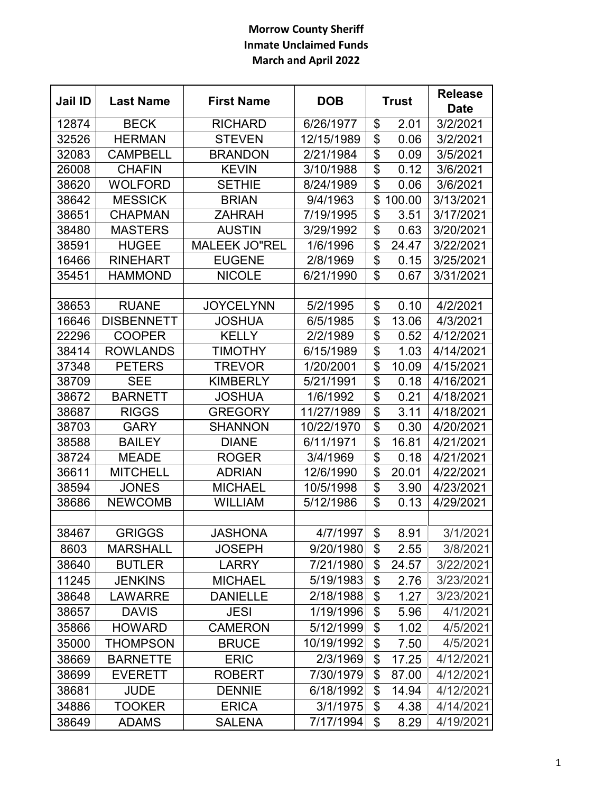## **Morrow County Sheriff Inmate Unclaimed Funds March and April 2022**

| Jail ID | <b>Last Name</b>  | <b>First Name</b>    | <b>DOB</b> | <b>Trust</b>            |        | <b>Release</b> |
|---------|-------------------|----------------------|------------|-------------------------|--------|----------------|
|         |                   |                      |            |                         |        | <b>Date</b>    |
| 12874   | <b>BECK</b>       | <b>RICHARD</b>       | 6/26/1977  | \$                      | 2.01   | 3/2/2021       |
| 32526   | <b>HERMAN</b>     | <b>STEVEN</b>        | 12/15/1989 | \$                      | 0.06   | 3/2/2021       |
| 32083   | <b>CAMPBELL</b>   | <b>BRANDON</b>       | 2/21/1984  | \$                      | 0.09   | 3/5/2021       |
| 26008   | <b>CHAFIN</b>     | <b>KEVIN</b>         | 3/10/1988  | \$                      | 0.12   | 3/6/2021       |
| 38620   | <b>WOLFORD</b>    | <b>SETHIE</b>        | 8/24/1989  | \$                      | 0.06   | 3/6/2021       |
| 38642   | <b>MESSICK</b>    | <b>BRIAN</b>         | 9/4/1963   | \$                      | 100.00 | 3/13/2021      |
| 38651   | <b>CHAPMAN</b>    | <b>ZAHRAH</b>        | 7/19/1995  | \$                      | 3.51   | 3/17/2021      |
| 38480   | <b>MASTERS</b>    | <b>AUSTIN</b>        | 3/29/1992  | $\overline{\mathbb{S}}$ | 0.63   | 3/20/2021      |
| 38591   | <b>HUGEE</b>      | <b>MALEEK JO"REL</b> | 1/6/1996   | \$                      | 24.47  | 3/22/2021      |
| 16466   | <b>RINEHART</b>   | <b>EUGENE</b>        | 2/8/1969   | \$                      | 0.15   | 3/25/2021      |
| 35451   | <b>HAMMOND</b>    | <b>NICOLE</b>        | 6/21/1990  | \$                      | 0.67   | 3/31/2021      |
| 38653   | <b>RUANE</b>      | <b>JOYCELYNN</b>     | 5/2/1995   | \$                      | 0.10   | 4/2/2021       |
| 16646   | <b>DISBENNETT</b> | <b>JOSHUA</b>        | 6/5/1985   | \$                      | 13.06  | 4/3/2021       |
| 22296   | <b>COOPER</b>     | <b>KELLY</b>         | 2/2/1989   | \$                      | 0.52   | 4/12/2021      |
| 38414   | <b>ROWLANDS</b>   | <b>TIMOTHY</b>       | 6/15/1989  | \$                      | 1.03   | 4/14/2021      |
| 37348   | <b>PETERS</b>     | <b>TREVOR</b>        | 1/20/2001  | \$                      | 10.09  | 4/15/2021      |
| 38709   | <b>SEE</b>        | <b>KIMBERLY</b>      | 5/21/1991  | \$                      | 0.18   | 4/16/2021      |
| 38672   | <b>BARNETT</b>    | JOSHUA               | 1/6/1992   | \$                      | 0.21   | 4/18/2021      |
| 38687   | <b>RIGGS</b>      | <b>GREGORY</b>       | 11/27/1989 | \$                      | 3.11   | 4/18/2021      |
| 38703   | <b>GARY</b>       | <b>SHANNON</b>       | 10/22/1970 | \$                      | 0.30   | 4/20/2021      |
| 38588   | <b>BAILEY</b>     | <b>DIANE</b>         | 6/11/1971  | \$                      | 16.81  | 4/21/2021      |
| 38724   | <b>MEADE</b>      | <b>ROGER</b>         | 3/4/1969   | \$                      | 0.18   | 4/21/2021      |
| 36611   | <b>MITCHELL</b>   | <b>ADRIAN</b>        | 12/6/1990  | \$                      | 20.01  | 4/22/2021      |
| 38594   | <b>JONES</b>      | <b>MICHAEL</b>       | 10/5/1998  | \$                      | 3.90   | 4/23/2021      |
| 38686   | <b>NEWCOMB</b>    | <b>WILLIAM</b>       | 5/12/1986  | \$                      | 0.13   | 4/29/2021      |
|         |                   |                      |            |                         |        |                |
| 38467   | <b>GRIGGS</b>     | <b>JASHONA</b>       | 4/7/1997   | \$                      | 8.91   | 3/1/2021       |
| 8603    | <b>MARSHALL</b>   | <b>JOSEPH</b>        | 9/20/1980  | \$                      | 2.55   | 3/8/2021       |
| 38640   | <b>BUTLER</b>     | <b>LARRY</b>         | 7/21/1980  | \$                      | 24.57  | 3/22/2021      |
| 11245   | <b>JENKINS</b>    | <b>MICHAEL</b>       | 5/19/1983  | \$                      | 2.76   | 3/23/2021      |
| 38648   | <b>LAWARRE</b>    | <b>DANIELLE</b>      | 2/18/1988  | \$                      | 1.27   | 3/23/2021      |
| 38657   | <b>DAVIS</b>      | <b>JESI</b>          | 1/19/1996  | \$                      | 5.96   | 4/1/2021       |
| 35866   | <b>HOWARD</b>     | <b>CAMERON</b>       | 5/12/1999  | \$                      | 1.02   | 4/5/2021       |
| 35000   | THOMPSON          | <b>BRUCE</b>         | 10/19/1992 | \$                      | 7.50   | 4/5/2021       |
| 38669   | <b>BARNETTE</b>   | <b>ERIC</b>          | 2/3/1969   | \$                      | 17.25  | 4/12/2021      |
| 38699   | <b>EVERETT</b>    | <b>ROBERT</b>        | 7/30/1979  | \$                      | 87.00  | 4/12/2021      |
| 38681   | <b>JUDE</b>       | <b>DENNIE</b>        | 6/18/1992  | \$                      | 14.94  | 4/12/2021      |
| 34886   | <b>TOOKER</b>     | <b>ERICA</b>         | 3/1/1975   | \$                      | 4.38   | 4/14/2021      |
| 38649   | <b>ADAMS</b>      | <b>SALENA</b>        | 7/17/1994  | \$                      | 8.29   | 4/19/2021      |